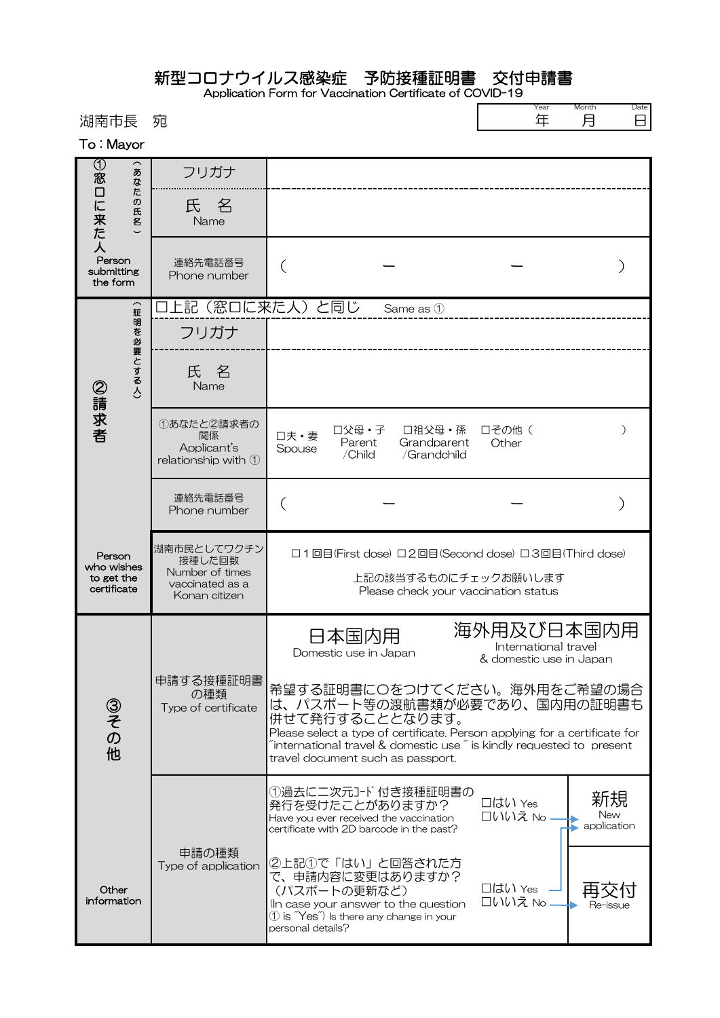新型コロナウイルス感染症 予防接種証明書 交付申請書

Application Form for Vaccination Certificate of COVID-19  $\sqrt{2}$ 

Year Month Date

| 湖南市長                                                                                          | 宛                                                                            |                                                                                                                                                                                                                                                                                                  | 年<br>月<br>⊟                                                   |  |  |
|-----------------------------------------------------------------------------------------------|------------------------------------------------------------------------------|--------------------------------------------------------------------------------------------------------------------------------------------------------------------------------------------------------------------------------------------------------------------------------------------------|---------------------------------------------------------------|--|--|
| To: Mayor                                                                                     |                                                                              |                                                                                                                                                                                                                                                                                                  |                                                               |  |  |
| $^\copyright$<br>あ<br>窓<br>なた<br>口に来た<br>の<br>氏<br>名<br>人<br>Person<br>submitting<br>the form | フリガナ                                                                         |                                                                                                                                                                                                                                                                                                  |                                                               |  |  |
|                                                                                               | 氏 名<br>Name                                                                  |                                                                                                                                                                                                                                                                                                  |                                                               |  |  |
|                                                                                               | 連絡先電話番号<br>Phone number                                                      |                                                                                                                                                                                                                                                                                                  |                                                               |  |  |
| $\widehat{\mathbf{m}}$                                                                        | 上記(窓口に来た人)と同じ<br>Same as 1                                                   |                                                                                                                                                                                                                                                                                                  |                                                               |  |  |
| 明を必要とする人)<br>②請求者                                                                             | フリガナ                                                                         |                                                                                                                                                                                                                                                                                                  |                                                               |  |  |
|                                                                                               | 氏名<br>Name                                                                   |                                                                                                                                                                                                                                                                                                  |                                                               |  |  |
|                                                                                               | ①あなたと2請求者の<br>関係<br>Applicant's<br>relationship with $\mathcal D$            | □父母・子<br>□祖父母・孫<br>口夫·妻<br>Parent<br>Grandparent<br>Spouse<br>/Child<br>/Grandchild                                                                                                                                                                                                              | 口その他(<br>Other                                                |  |  |
|                                                                                               | 連絡先電話番号<br>Phone number                                                      | $\left($                                                                                                                                                                                                                                                                                         |                                                               |  |  |
| Person<br>who wishes<br>to get the<br>certificate                                             | 湖南市民としてワクチン<br>接種した回数<br>Number of times<br>vaccinated as a<br>Konan citizen | □1回目(First dose) □2回目(Second dose) □3回目(Third dose)<br>上記の該当するものにチェックお願いします<br>Please check your vaccination status                                                                                                                                                                              |                                                               |  |  |
| ③その他                                                                                          | 申請する接種証明書<br>の種類<br>Type of certificate                                      | 日本国内用<br>Domestic use in Japan                                                                                                                                                                                                                                                                   | 海外用及び日本国内用<br>International travel<br>& domestic use in Japan |  |  |
|                                                                                               |                                                                              | 希望する証明書にOをつけてください。海外用をご希望の場合<br>は、パスポート等の渡航書類が必要であり、国内用の証明書も<br>併せて発行することとなります。<br>Please select a type of certificate. Person applying for a certificate for<br>$\tilde{a}$ international travel & domestic use $\tilde{a}$ is kindly requested to present<br>travel document such as passport. |                                                               |  |  |
|                                                                                               |                                                                              | ①過去に二次元コード付き接種証明書の<br>発行を受けたことがありますか?<br>Have you ever received the vaccination<br>certificate with 2D barcode in the past?                                                                                                                                                                      | 新規<br>□はい Yes<br><b>New</b><br>口いいえ No<br>application         |  |  |
| Other<br>information                                                                          | 申請の種類<br>Type of application                                                 | ②上記①で「はい」と回答された方<br>で、申請内容に変更はありますか?<br>(パスポートの更新など)<br>(In case your answer to the question<br>$\textcircled{1}$ is $\textup{``Yes''}$ Is there any change in your<br>personal details?                                                                                                         | □はい Yes<br>口いいえ No<br>Re-issue                                |  |  |